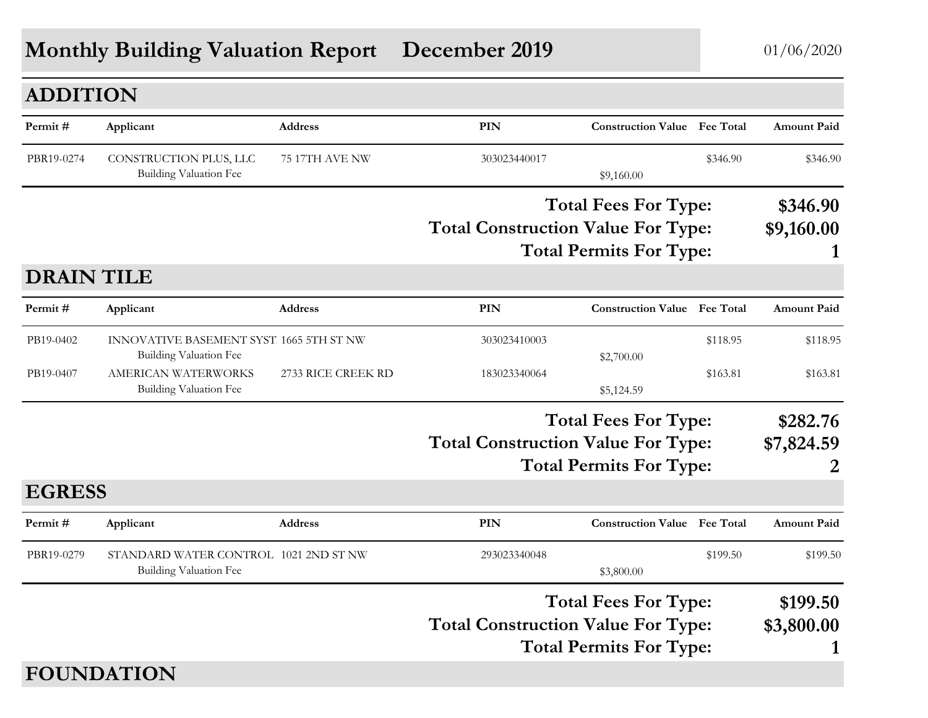## **Monthly Building Valuation Report December 2019** 01/06/2020

| <b>ADDITION</b>   |                                                                           |                    |                                           |                                     |          |                    |
|-------------------|---------------------------------------------------------------------------|--------------------|-------------------------------------------|-------------------------------------|----------|--------------------|
| Permit#           | Applicant                                                                 | <b>Address</b>     | PIN                                       | <b>Construction Value</b> Fee Total |          | <b>Amount Paid</b> |
| PBR19-0274        | CONSTRUCTION PLUS, LLC<br><b>Building Valuation Fee</b>                   | 75 17TH AVE NW     | 303023440017                              | \$9,160.00                          | \$346.90 | \$346.90           |
|                   |                                                                           |                    |                                           | <b>Total Fees For Type:</b>         |          | \$346.90           |
|                   |                                                                           |                    | <b>Total Construction Value For Type:</b> | <b>Total Permits For Type:</b>      |          | \$9,160.00         |
| <b>DRAIN TILE</b> |                                                                           |                    |                                           |                                     |          |                    |
| Permit#           | Applicant                                                                 | <b>Address</b>     | <b>PIN</b>                                | <b>Construction Value</b> Fee Total |          | <b>Amount Paid</b> |
| PB19-0402         | INNOVATIVE BASEMENT SYST. 1665 5TH ST NW<br><b>Building Valuation Fee</b> |                    | 303023410003                              | \$2,700.00                          | \$118.95 | \$118.95           |
| PB19-0407         | AMERICAN WATERWORKS<br><b>Building Valuation Fee</b>                      | 2733 RICE CREEK RD | 183023340064                              | \$5,124.59                          | \$163.81 | \$163.81           |
|                   |                                                                           |                    |                                           | <b>Total Fees For Type:</b>         |          | \$282.76           |
|                   |                                                                           |                    | <b>Total Construction Value For Type:</b> |                                     |          | \$7,824.59         |
|                   |                                                                           |                    |                                           | <b>Total Permits For Type:</b>      |          |                    |
| <b>EGRESS</b>     |                                                                           |                    |                                           |                                     |          |                    |
| Permit#           | Applicant                                                                 | <b>Address</b>     | PIN                                       | <b>Construction Value</b> Fee Total |          | <b>Amount Paid</b> |
| PBR19-0279        | STANDARD WATER CONTROL 1021 2ND ST NW<br><b>Building Valuation Fee</b>    |                    | 293023340048                              | \$3,800.00                          | \$199.50 | \$199.50           |
|                   |                                                                           |                    |                                           | <b>Total Fees For Type:</b>         |          | \$199.50           |
|                   |                                                                           |                    | <b>Total Construction Value For Type:</b> | <b>Total Permits For Type:</b>      |          | \$3,800.00<br>1    |
|                   | <b>FOUNDATION</b>                                                         |                    |                                           |                                     |          |                    |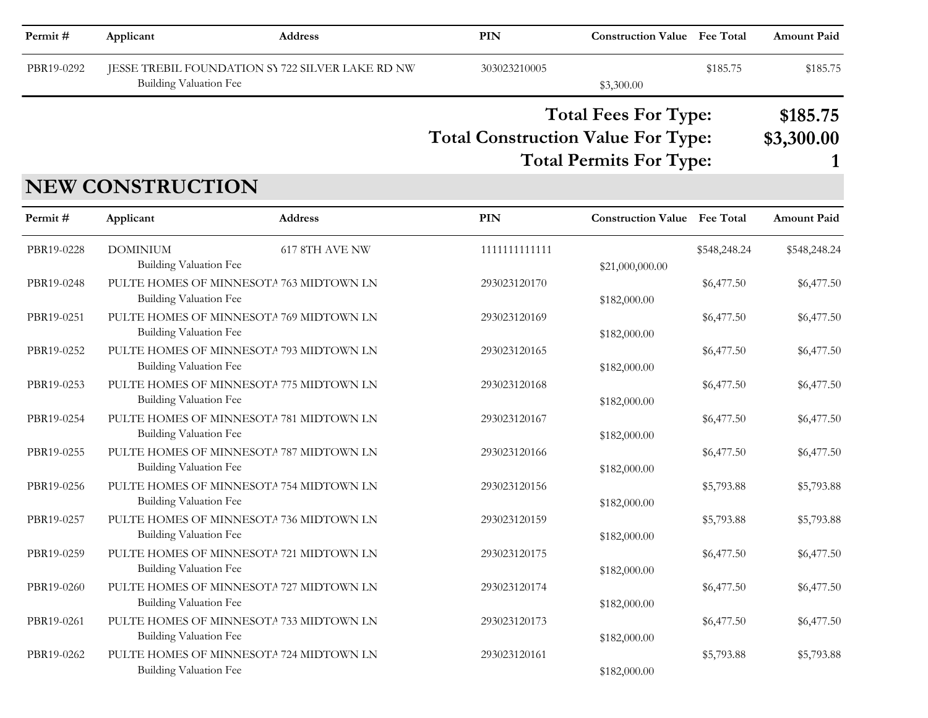| Permit#    | Applicant                                 | <b>Address</b>                                   | PIN                                       | <b>Construction Value Fee Total</b>                           |              | <b>Amount Paid</b>     |
|------------|-------------------------------------------|--------------------------------------------------|-------------------------------------------|---------------------------------------------------------------|--------------|------------------------|
| PBR19-0292 | Building Valuation Fee                    | JESSE TREBIL FOUNDATION SY 722 SILVER LAKE RD NW | 303023210005                              | \$3,300.00                                                    | \$185.75     | \$185.75               |
|            |                                           |                                                  | <b>Total Construction Value For Type:</b> | <b>Total Fees For Type:</b><br><b>Total Permits For Type:</b> |              | \$185.75<br>\$3,300.00 |
|            | <b>NEW CONSTRUCTION</b>                   |                                                  |                                           |                                                               |              |                        |
| Permit#    | Applicant                                 | <b>Address</b>                                   | <b>PIN</b>                                | <b>Construction Value Fee Total</b>                           |              | <b>Amount Paid</b>     |
| PBR19-0228 | <b>DOMINIUM</b><br>Building Valuation Fee | 617 8TH AVE NW                                   | 1111111111111                             | \$21,000,000.00                                               | \$548,248.24 | \$548,248.24           |
| PBR19-0248 | Building Valuation Fee                    | PULTE HOMES OF MINNESOTA 763 MIDTOWN LN          | 293023120170                              | \$182,000.00                                                  | \$6,477.50   | \$6,477.50             |
| PBR19-0251 | Building Valuation Fee                    | PULTE HOMES OF MINNESOTA 769 MIDTOWN LN          | 293023120169                              | \$182,000.00                                                  | \$6,477.50   | \$6,477.50             |
| PBR19-0252 | <b>Building Valuation Fee</b>             | PULTE HOMES OF MINNESOTA 793 MIDTOWN LN          | 293023120165                              | \$182,000.00                                                  | \$6,477.50   | \$6,477.50             |
| PBR19-0253 | Building Valuation Fee                    | PULTE HOMES OF MINNESOTA 775 MIDTOWN LN          | 293023120168                              | \$182,000.00                                                  | \$6,477.50   | \$6,477.50             |
| PBR19-0254 | <b>Building Valuation Fee</b>             | PULTE HOMES OF MINNESOTA 781 MIDTOWN LN          | 293023120167                              | \$182,000.00                                                  | \$6,477.50   | \$6,477.50             |
| PBR19-0255 | <b>Building Valuation Fee</b>             | PULTE HOMES OF MINNESOTA 787 MIDTOWN LN          | 293023120166                              | \$182,000.00                                                  | \$6,477.50   | \$6,477.50             |
| PBR19-0256 | Building Valuation Fee                    | PULTE HOMES OF MINNESOTA 754 MIDTOWN LN          | 293023120156                              | \$182,000.00                                                  | \$5,793.88   | \$5,793.88             |
| PBR19-0257 | <b>Building Valuation Fee</b>             | PULTE HOMES OF MINNESOTA 736 MIDTOWN LN          | 293023120159                              | \$182,000.00                                                  | \$5,793.88   | \$5,793.88             |
| PBR19-0259 | Building Valuation Fee                    | PULTE HOMES OF MINNESOTA 721 MIDTOWN LN          | 293023120175                              | \$182,000.00                                                  | \$6,477.50   | \$6,477.50             |
| PBR19-0260 | <b>Building Valuation Fee</b>             | PULTE HOMES OF MINNESOTA 727 MIDTOWN LN          | 293023120174                              | \$182,000.00                                                  | \$6,477.50   | \$6,477.50             |
| PBR19-0261 | <b>Building Valuation Fee</b>             | PULTE HOMES OF MINNESOTA 733 MIDTOWN LN          | 293023120173                              | \$182,000.00                                                  | \$6,477.50   | \$6,477.50             |
| PBR19-0262 | <b>Building Valuation Fee</b>             | PULTE HOMES OF MINNESOTA 724 MIDTOWN LN          | 293023120161                              | \$182,000.00                                                  | \$5,793.88   | \$5,793.88             |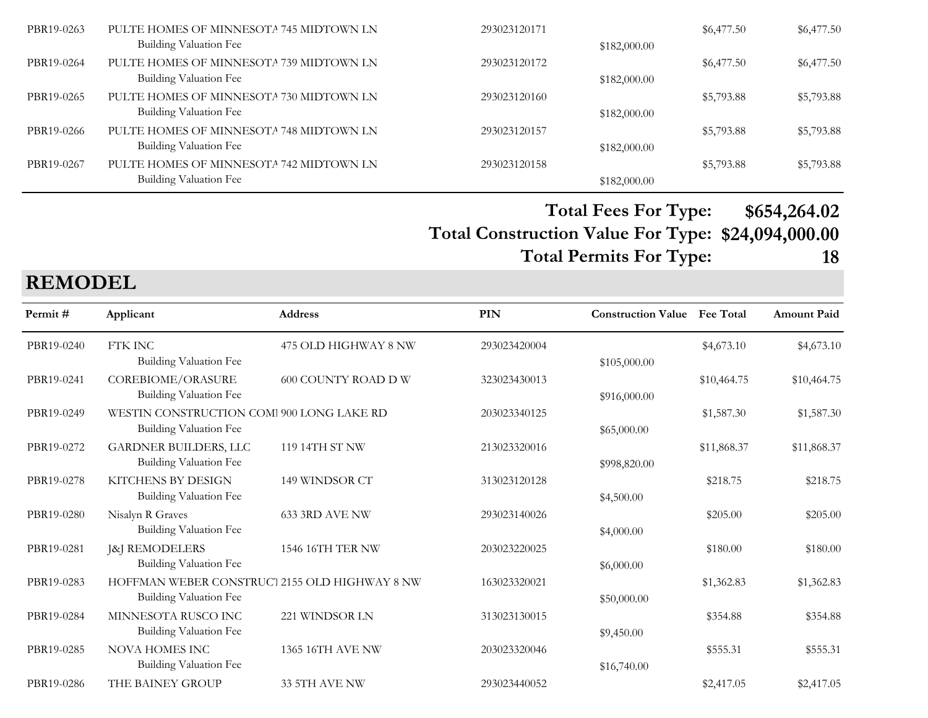| PBR19-0263 | PULTE HOMES OF MINNESOTA 745 MIDTOWN LN | 293023120171 |              | \$6,477.50 | \$6,477.50 |
|------------|-----------------------------------------|--------------|--------------|------------|------------|
|            | Building Valuation Fee                  |              | \$182,000.00 |            |            |
| PBR19-0264 | PULTE HOMES OF MINNESOTA 739 MIDTOWN LN | 293023120172 |              | \$6,477.50 | \$6,477.50 |
|            | Building Valuation Fee                  |              | \$182,000.00 |            |            |
| PBR19-0265 | PULTE HOMES OF MINNESOTA 730 MIDTOWN LN | 293023120160 |              | \$5,793.88 | \$5,793.88 |
|            | Building Valuation Fee                  |              | \$182,000.00 |            |            |
| PBR19-0266 | PULTE HOMES OF MINNESOTA 748 MIDTOWN LN | 293023120157 |              | \$5,793.88 | \$5,793.88 |
|            | Building Valuation Fee                  |              | \$182,000.00 |            |            |
| PBR19-0267 | PULTE HOMES OF MINNESOTA 742 MIDTOWN LN | 293023120158 |              | \$5,793.88 | \$5,793.88 |
|            | Building Valuation Fee                  |              | \$182,000.00 |            |            |

**Total Construction Value For Type: \$24,094,000.00 Total Fees For Type: \$654,264.02 Total Permits For Type: 18**

**REMODEL**

| Permit#    | Applicant                                                                      | Address              | <b>PIN</b>   | <b>Construction Value</b> Fee Total |             | <b>Amount Paid</b> |
|------------|--------------------------------------------------------------------------------|----------------------|--------------|-------------------------------------|-------------|--------------------|
| PBR19-0240 | FTK INC<br><b>Building Valuation Fee</b>                                       | 475 OLD HIGHWAY 8 NW | 293023420004 | \$105,000.00                        | \$4,673.10  | \$4,673.10         |
| PBR19-0241 | COREBIOME/ORASURE<br>Building Valuation Fee                                    | 600 COUNTY ROAD D W  | 323023430013 | \$916,000.00                        | \$10,464.75 | \$10,464.75        |
| PBR19-0249 | WESTIN CONSTRUCTION COM 900 LONG LAKE RD<br>Building Valuation Fee             |                      | 203023340125 | \$65,000.00                         | \$1,587.30  | \$1,587.30         |
| PBR19-0272 | <b>GARDNER BUILDERS, LLC</b><br><b>Building Valuation Fee</b>                  | 119 14TH ST NW       | 213023320016 | \$998,820.00                        | \$11,868.37 | \$11,868.37        |
| PBR19-0278 | KITCHENS BY DESIGN<br><b>Building Valuation Fee</b>                            | 149 WINDSOR CT       | 313023120128 | \$4,500.00                          | \$218.75    | \$218.75           |
| PBR19-0280 | Nisalyn R Graves<br>Building Valuation Fee                                     | 633 3RD AVE NW       | 293023140026 | \$4,000.00                          | \$205.00    | \$205.00           |
| PBR19-0281 | J&J REMODELERS<br>Building Valuation Fee                                       | 1546 16TH TER NW     | 203023220025 | \$6,000.00                          | \$180.00    | \$180.00           |
| PBR19-0283 | HOFFMAN WEBER CONSTRUCT 2155 OLD HIGHWAY 8 NW<br><b>Building Valuation Fee</b> |                      | 163023320021 | \$50,000.00                         | \$1,362.83  | \$1,362.83         |
| PBR19-0284 | MINNESOTA RUSCO INC<br>Building Valuation Fee                                  | 221 WINDSOR LN       | 313023130015 | \$9,450.00                          | \$354.88    | \$354.88           |
| PBR19-0285 | <b>NOVA HOMES INC</b><br>Building Valuation Fee                                | 1365 16TH AVE NW     | 203023320046 | \$16,740.00                         | \$555.31    | \$555.31           |
| PBR19-0286 | THE BAINEY GROUP                                                               | 33 5TH AVE NW        | 293023440052 |                                     | \$2,417.05  | \$2,417.05         |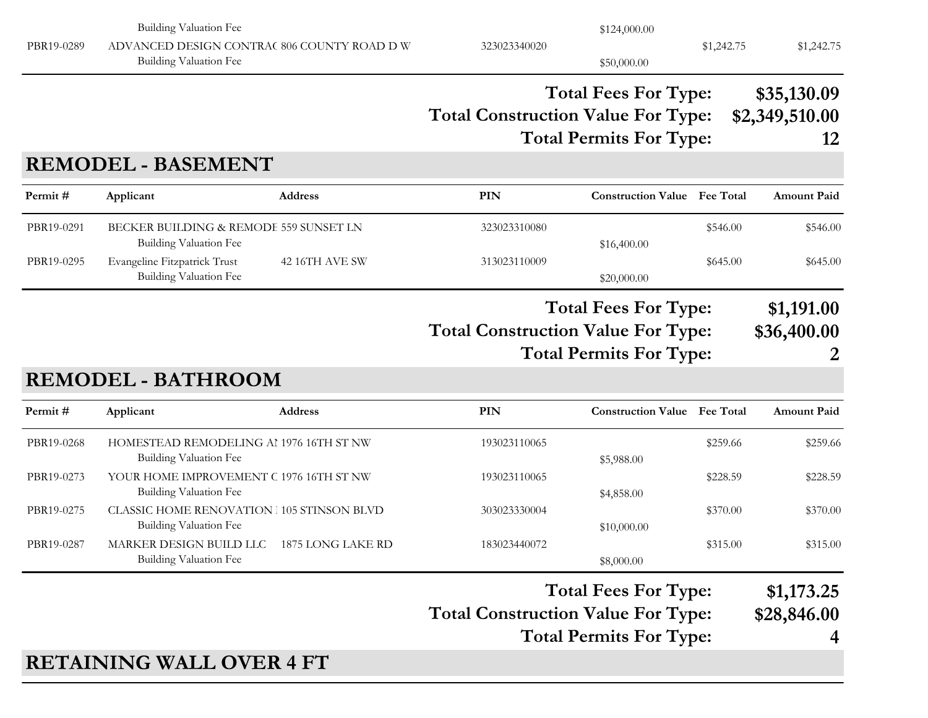| Permit#<br>PBR19-0268<br>PBR19-0273<br>PBR19-0275<br>PBR19-0287 | Applicant<br>HOMESTEAD REMODELING AI 1976 16TH ST NW<br><b>Building Valuation Fee</b><br>YOUR HOME IMPROVEMENT C 1976 16TH ST NW<br><b>Building Valuation Fee</b><br><b>CLASSIC HOME RENOVATION 105 STINSON BLVD</b><br><b>Building Valuation Fee</b><br>MARKER DESIGN BUILD LLC 1875 LONG LAKE RD<br>Building Valuation Fee | <b>Address</b> | PIN<br>193023110065<br>193023110065<br>303023330004<br>183023440072<br><b>Total Construction Value For Type:</b> | <b>Construction Value Fee Total</b><br>\$5,988.00<br>\$4,858.00<br>\$10,000.00<br>\$8,000.00<br><b>Total Fees For Type:</b><br><b>Total Permits For Type:</b> | \$259.66<br>\$228.59<br>\$370.00<br>\$315.00 | <b>Amount Paid</b><br>\$259.66<br>\$228.59<br>\$370.00<br>\$315.00<br>\$1,173.25<br>\$28,846.00<br>4 |
|-----------------------------------------------------------------|------------------------------------------------------------------------------------------------------------------------------------------------------------------------------------------------------------------------------------------------------------------------------------------------------------------------------|----------------|------------------------------------------------------------------------------------------------------------------|---------------------------------------------------------------------------------------------------------------------------------------------------------------|----------------------------------------------|------------------------------------------------------------------------------------------------------|
|                                                                 |                                                                                                                                                                                                                                                                                                                              |                |                                                                                                                  |                                                                                                                                                               |                                              |                                                                                                      |
|                                                                 |                                                                                                                                                                                                                                                                                                                              |                |                                                                                                                  |                                                                                                                                                               |                                              |                                                                                                      |
|                                                                 |                                                                                                                                                                                                                                                                                                                              |                |                                                                                                                  |                                                                                                                                                               |                                              |                                                                                                      |
|                                                                 |                                                                                                                                                                                                                                                                                                                              |                |                                                                                                                  |                                                                                                                                                               |                                              |                                                                                                      |
|                                                                 |                                                                                                                                                                                                                                                                                                                              |                |                                                                                                                  |                                                                                                                                                               |                                              |                                                                                                      |
|                                                                 |                                                                                                                                                                                                                                                                                                                              |                |                                                                                                                  |                                                                                                                                                               |                                              |                                                                                                      |
|                                                                 | <b>REMODEL - BATHROOM</b>                                                                                                                                                                                                                                                                                                    |                | <b>Total Construction Value For Type:</b>                                                                        | <b>Total Fees For Type:</b><br><b>Total Permits For Type:</b>                                                                                                 |                                              | \$1,191.00<br>\$36,400.00                                                                            |
| PBR19-0295                                                      | Evangeline Fitzpatrick Trust<br><b>Building Valuation Fee</b>                                                                                                                                                                                                                                                                | 42 16TH AVE SW | 313023110009                                                                                                     | \$20,000.00                                                                                                                                                   | \$645.00                                     | \$645.00                                                                                             |
| PBR19-0291                                                      | BECKER BUILDING & REMODE 559 SUNSET LN<br><b>Building Valuation Fee</b>                                                                                                                                                                                                                                                      |                | 323023310080                                                                                                     | \$16,400.00                                                                                                                                                   | \$546.00                                     | \$546.00                                                                                             |
| Permit#                                                         | Applicant                                                                                                                                                                                                                                                                                                                    | Address        | <b>PIN</b>                                                                                                       | <b>Construction Value</b> Fee Total                                                                                                                           |                                              | <b>Amount Paid</b>                                                                                   |
|                                                                 | <b>REMODEL - BASEMENT</b>                                                                                                                                                                                                                                                                                                    |                | <b>Total Construction Value For Type:</b>                                                                        | <b>Total Fees For Type:</b><br><b>Total Permits For Type:</b>                                                                                                 |                                              | \$35,130.09<br>\$2,349,510.00<br>12                                                                  |
|                                                                 |                                                                                                                                                                                                                                                                                                                              |                |                                                                                                                  |                                                                                                                                                               |                                              |                                                                                                      |
| PBR19-0289                                                      | <b>Building Valuation Fee</b><br>ADVANCED DESIGN CONTRAC 806 COUNTY ROAD D W<br>Building Valuation Fee                                                                                                                                                                                                                       |                | 323023340020                                                                                                     | \$124,000.00<br>\$50,000.00                                                                                                                                   | \$1,242.75                                   | \$1,242.75                                                                                           |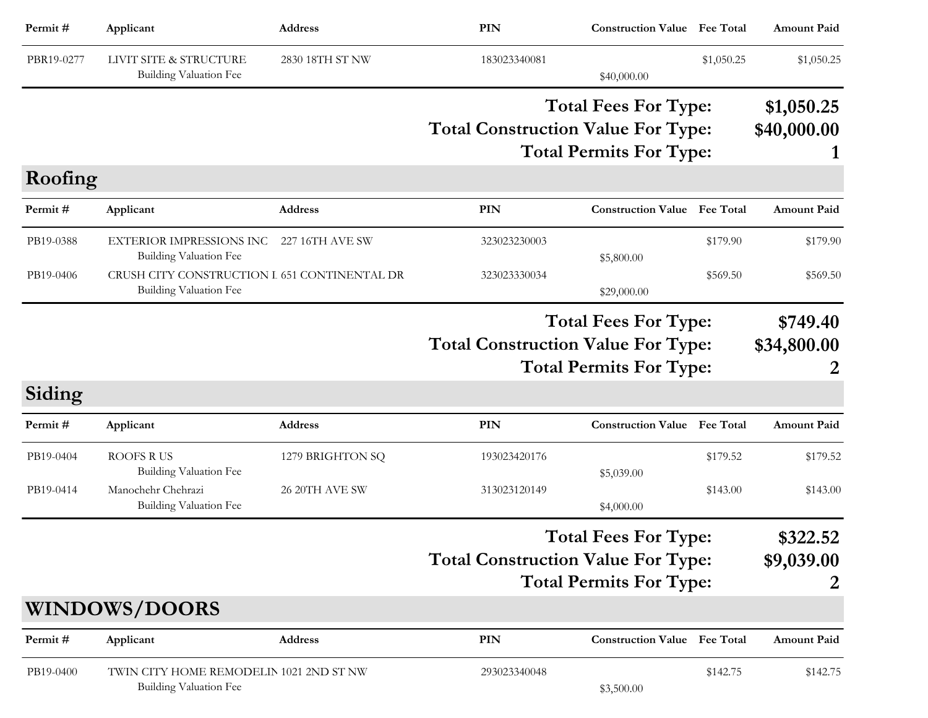| Permit#    | Applicant                                                              | Address          | <b>PIN</b>                                | <b>Construction Value</b> Fee Total                           |                      | <b>Amount Paid</b>           |
|------------|------------------------------------------------------------------------|------------------|-------------------------------------------|---------------------------------------------------------------|----------------------|------------------------------|
| PBR19-0277 | LIVIT SITE & STRUCTURE<br>Building Valuation Fee                       | 2830 18TH ST NW  | 183023340081                              | \$40,000.00                                                   | \$1,050.25           | \$1,050.25                   |
|            |                                                                        |                  | <b>Total Construction Value For Type:</b> | <b>Total Fees For Type:</b><br><b>Total Permits For Type:</b> |                      | \$1,050.25<br>\$40,000.00    |
| Roofing    |                                                                        |                  |                                           |                                                               |                      |                              |
| Permit#    | Applicant                                                              | <b>Address</b>   | <b>PIN</b>                                | <b>Construction Value</b> Fee Total                           |                      | <b>Amount Paid</b>           |
| PB19-0388  | <b>EXTERIOR IMPRESSIONS INC</b><br><b>Building Valuation Fee</b>       | 227 16TH AVE SW  | 323023230003                              | \$5,800.00                                                    | \$179.90             | \$179.90                     |
| PB19-0406  | CRUSH CITY CONSTRUCTION I 651 CONTINENTAL DR<br>Building Valuation Fee |                  | 323023330034                              | \$29,000.00                                                   | \$569.50<br>\$569.50 |                              |
|            |                                                                        |                  | <b>Total Construction Value For Type:</b> | <b>Total Fees For Type:</b><br><b>Total Permits For Type:</b> |                      | \$749.40<br>\$34,800.00<br>2 |
| Siding     |                                                                        |                  |                                           |                                                               |                      |                              |
| Permit#    | Applicant                                                              | <b>Address</b>   | PIN                                       | <b>Construction Value</b>                                     | <b>Fee Total</b>     | <b>Amount Paid</b>           |
| PB19-0404  | <b>ROOFS RUS</b><br>Building Valuation Fee                             | 1279 BRIGHTON SQ | 193023420176                              | \$5,039.00                                                    | \$179.52             | \$179.52                     |
| PB19-0414  | Manochehr Chehrazi<br><b>Building Valuation Fee</b>                    | 26 20TH AVE SW   | 313023120149                              | \$4,000.00                                                    | \$143.00             | \$143.00                     |
|            |                                                                        |                  | <b>Total Construction Value For Type:</b> | <b>Total Fees For Type:</b><br><b>Total Permits For Type:</b> |                      | \$322.52<br>\$9,039.00<br>2  |
|            | <b>WINDOWS/DOORS</b>                                                   |                  |                                           |                                                               |                      |                              |
| Permit#    | Applicant                                                              | <b>Address</b>   | <b>PIN</b>                                | <b>Construction Value Fee Total</b>                           |                      | <b>Amount Paid</b>           |
| PB19-0400  | TWIN CITY HOME REMODELIN 1021 2ND ST NW<br>Building Valuation Fee      |                  | 293023340048                              | \$3,500.00                                                    | \$142.75             | \$142.75                     |